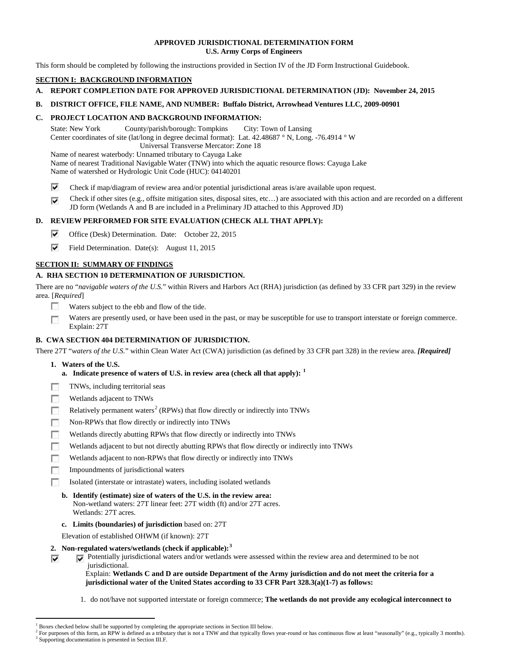## **APPROVED JURISDICTIONAL DETERMINATION FORM U.S. Army Corps of Engineers**

This form should be completed by following the instructions provided in Section IV of the JD Form Instructional Guidebook.

# **SECTION I: BACKGROUND INFORMATION**

- **A. REPORT COMPLETION DATE FOR APPROVED JURISDICTIONAL DETERMINATION (JD): November 24, 2015**
- **B. DISTRICT OFFICE, FILE NAME, AND NUMBER: Buffalo District, Arrowhead Ventures LLC, 2009-00901**

# **C. PROJECT LOCATION AND BACKGROUND INFORMATION:**

State: New York County/parish/borough: Tompkins City: Town of Lansing Center coordinates of site (lat/long in degree decimal format): Lat. 42.48687 ° N, Long. -76.4914 ° W Universal Transverse Mercator: Zone 18 Name of nearest waterbody: Unnamed tributary to Cayuga Lake

Name of nearest Traditional Navigable Water (TNW) into which the aquatic resource flows: Cayuga Lake Name of watershed or Hydrologic Unit Code (HUC): 04140201

- ⊽ Check if map/diagram of review area and/or potential jurisdictional areas is/are available upon request.
- Check if other sites (e.g., offsite mitigation sites, disposal sites, etc…) are associated with this action and are recorded on a different ⊽ JD form (Wetlands A and B are included in a Preliminary JD attached to this Approved JD)

# **D. REVIEW PERFORMED FOR SITE EVALUATION (CHECK ALL THAT APPLY):**

- ⊽ Office (Desk) Determination. Date: October 22, 2015
- ⊽ Field Determination. Date(s): August 11, 2015

# **SECTION II: SUMMARY OF FINDINGS**

# **A. RHA SECTION 10 DETERMINATION OF JURISDICTION.**

There are no "*navigable waters of the U.S.*" within Rivers and Harbors Act (RHA) jurisdiction (as defined by 33 CFR part 329) in the review area. [*Required*]

- п Waters subject to the ebb and flow of the tide.
- Waters are presently used, or have been used in the past, or may be susceptible for use to transport interstate or foreign commerce. n Explain: 27T

# **B. CWA SECTION 404 DETERMINATION OF JURISDICTION.**

There 27T "*waters of the U.S.*" within Clean Water Act (CWA) jurisdiction (as defined by 33 CFR part 328) in the review area. *[Required]*

**1. Waters of the U.S.**

 $\overline{\mathbf{v}}$ 

- **a. Indicate presence of waters of U.S. in review area (check all that apply): [1](#page-0-0)**
- 同 TNWs, including territorial seas
- n Wetlands adjacent to TNWs
- Relatively permanent waters<sup>[2](#page-0-1)</sup> (RPWs) that flow directly or indirectly into TNWs г
- **In** Non-RPWs that flow directly or indirectly into TNWs
- Wetlands directly abutting RPWs that flow directly or indirectly into TNWs n
- Wetlands adjacent to but not directly abutting RPWs that flow directly or indirectly into TNWs г
- п Wetlands adjacent to non-RPWs that flow directly or indirectly into TNWs
- **In** Impoundments of jurisdictional waters
- Isolated (interstate or intrastate) waters, including isolated wetlands п
	- **b. Identify (estimate) size of waters of the U.S. in the review area:** Non-wetland waters: 27T linear feet: 27T width (ft) and/or 27T acres. Wetlands: 27T acres.
	- **c. Limits (boundaries) of jurisdiction** based on: 27T

Elevation of established OHWM (if known): 27T

- **2. Non-regulated waters/wetlands (check if applicable): [3](#page-0-2)**
	- Potentially jurisdictional waters and/or wetlands were assessed within the review area and determined to be not jurisdictional.

Explain: **Wetlands C and D are outside Department of the Army jurisdiction and do not meet the criteria for a jurisdictional water of the United States according to 33 CFR Part 328.3(a)(1-7) as follows:**

1. do not/have not supported interstate or foreign commerce; **The wetlands do not provide any ecological interconnect to** 

Boxes checked below shall be supported by completing the appropriate sections in Section III below.

<span id="page-0-2"></span><span id="page-0-1"></span><span id="page-0-0"></span> $^2$  For purposes of this form, an RPW is defined as a tributary that is not a TNW and that typically flows year-round or has continuous flow at least "seasonally" (e.g., typically 3 months).<br><sup>3</sup> Supporting documentation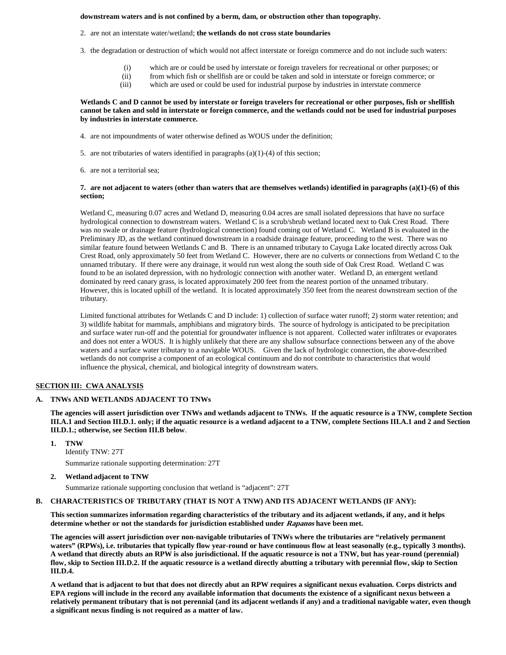## **downstream waters and is not confined by a berm, dam, or obstruction other than topography.**

- 2. are not an interstate water/wetland; **the wetlands do not cross state boundaries**
- 3. the degradation or destruction of which would not affect interstate or foreign commerce and do not include such waters:
	- (i) which are or could be used by interstate or foreign travelers for recreational or other purposes; or
	- (ii) from which fish or shellfish are or could be taken and sold in interstate or foreign commerce; or
	- (iii) which are used or could be used for industrial purpose by industries in interstate commerce

### **Wetlands C and D cannot be used by interstate or foreign travelers for recreational or other purposes, fish or shellfish cannot be taken and sold in interstate or foreign commerce, and the wetlands could not be used for industrial purposes by industries in interstate commerce.**

- 4. are not impoundments of water otherwise defined as WOUS under the definition;
- 5. are not tributaries of waters identified in paragraphs (a)(1)-(4) of this section;
- 6. are not a territorial sea;

### **7. are not adjacent to waters (other than waters that are themselves wetlands) identified in paragraphs (a)(1)-(6) of this section;**

Wetland C, measuring 0.07 acres and Wetland D, measuring 0.04 acres are small isolated depressions that have no surface hydrological connection to downstream waters. Wetland C is a scrub/shrub wetland located next to Oak Crest Road. There was no swale or drainage feature (hydrological connection) found coming out of Wetland C. Wetland B is evaluated in the Preliminary JD, as the wetland continued downstream in a roadside drainage feature, proceeding to the west. There was no similar feature found between Wetlands C and B. There is an unnamed tributary to Cayuga Lake located directly across Oak Crest Road, only approximately 50 feet from Wetland C. However, there are no culverts or connections from Wetland C to the unnamed tributary. If there were any drainage, it would run west along the south side of Oak Crest Road. Wetland C was found to be an isolated depression, with no hydrologic connection with another water. Wetland D, an emergent wetland dominated by reed canary grass, is located approximately 200 feet from the nearest portion of the unnamed tributary. However, this is located uphill of the wetland. It is located approximately 350 feet from the nearest downstream section of the tributary.

Limited functional attributes for Wetlands C and D include: 1) collection of surface water runoff; 2) storm water retention; and 3) wildlife habitat for mammals, amphibians and migratory birds. The source of hydrology is anticipated to be precipitation and surface water run-off and the potential for groundwater influence is not apparent. Collected water infiltrates or evaporates and does not enter a WOUS. It is highly unlikely that there are any shallow subsurface connections between any of the above waters and a surface water tributary to a navigable WOUS. Given the lack of hydrologic connection, the above-described wetlands do not comprise a component of an ecological continuum and do not contribute to characteristics that would influence the physical, chemical, and biological integrity of downstream waters.

### **SECTION III: CWA ANALYSIS**

### **A. TNWs AND WETLANDS ADJACENT TO TNWs**

**The agencies will assert jurisdiction over TNWs and wetlands adjacent to TNWs. If the aquatic resource is a TNW, complete Section III.A.1 and Section III.D.1. only; if the aquatic resource is a wetland adjacent to a TNW, complete Sections III.A.1 and 2 and Section III.D.1.; otherwise, see Section III.B below**.

**1. TNW** 

Identify TNW: 27T Summarize rationale supporting determination: 27T

**2. Wetland adjacent to TNW**

Summarize rationale supporting conclusion that wetland is "adjacent": 27T

#### **B. CHARACTERISTICS OF TRIBUTARY (THAT IS NOT A TNW) AND ITS ADJACENT WETLANDS (IF ANY):**

**This section summarizes information regarding characteristics of the tributary and its adjacent wetlands, if any, and it helps determine whether or not the standards for jurisdiction established under Rapanos have been met.** 

**The agencies will assert jurisdiction over non-navigable tributaries of TNWs where the tributaries are "relatively permanent waters" (RPWs), i.e. tributaries that typically flow year-round or have continuous flow at least seasonally (e.g., typically 3 months). A wetland that directly abuts an RPW is also jurisdictional. If the aquatic resource is not a TNW, but has year-round (perennial) flow, skip to Section III.D.2. If the aquatic resource is a wetland directly abutting a tributary with perennial flow, skip to Section III.D.4.**

**A wetland that is adjacent to but that does not directly abut an RPW requires a significant nexus evaluation. Corps districts and EPA regions will include in the record any available information that documents the existence of a significant nexus between a relatively permanent tributary that is not perennial (and its adjacent wetlands if any) and a traditional navigable water, even though a significant nexus finding is not required as a matter of law.**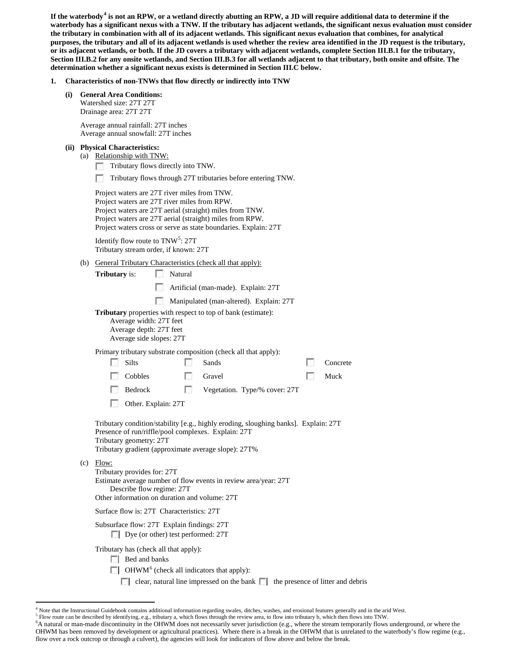**If the waterbody[4](#page-2-0) is not an RPW, or a wetland directly abutting an RPW, a JD will require additional data to determine if the waterbody has a significant nexus with a TNW. If the tributary has adjacent wetlands, the significant nexus evaluation must consider the tributary in combination with all of its adjacent wetlands. This significant nexus evaluation that combines, for analytical purposes, the tributary and all of its adjacent wetlands is used whether the review area identified in the JD request is the tributary, or its adjacent wetlands, or both. If the JD covers a tributary with adjacent wetlands, complete Section III.B.1 for the tributary, Section III.B.2 for any onsite wetlands, and Section III.B.3 for all wetlands adjacent to that tributary, both onsite and offsite. The determination whether a significant nexus exists is determined in Section III.C below.**

- **1. Characteristics of non-TNWs that flow directly or indirectly into TNW**
	- **(i) General Area Conditions:** Watershed size: 27T 27T Drainage area: 27T 27T

Average annual rainfall: 27T inches Average annual snowfall: 27T inches

#### **(ii) Physical Characteristics:**

- (a) Relationship with TNW:
	- Tributary flows directly into TNW.
	- n Tributary flows through 27T tributaries before entering TNW.

Project waters are 27T river miles from TNW. Project waters are 27T river miles from RPW. Project waters are 27T aerial (straight) miles from TNW. Project waters are 27T aerial (straight) miles from RPW. Project waters cross or serve as state boundaries. Explain: 27T

Identify flow route to TNW<sup>[5](#page-2-1)</sup>: 27T Tributary stream order, if known: 27T

(b) General Tributary Characteristics (check all that apply):

**Tributary** is: Natural

- Artificial (man-made). Explain: 27T
- Manipulated (man-altered). Explain: 27T

**Tributary** properties with respect to top of bank (estimate):

Average width: 27T feet Average depth: 27T feet

Average side slopes: 27T

Primary tributary substrate composition (check all that apply):

|  | <b>Silts</b>        |  | Sands                                 | Concrete |
|--|---------------------|--|---------------------------------------|----------|
|  | Cobbles             |  | Gravel                                | Muck     |
|  |                     |  | Bedrock Vegetation. Type/% cover: 27T |          |
|  | Other. Explain: 27T |  |                                       |          |

Tributary condition/stability [e.g., highly eroding, sloughing banks]. Explain: 27T Presence of run/riffle/pool complexes. Explain: 27T Tributary geometry: 27T Tributary gradient (approximate average slope): 27T%

(c) Flow:

Tributary provides for: 27T Estimate average number of flow events in review area/year: 27T Describe flow regime: 27T Other information on duration and volume: 27T

Surface flow is: 27T Characteristics: 27T

Subsurface flow: 27T Explain findings: 27T

Dye (or other) test performed: 27T

Tributary has (check all that apply):

- Bed and banks
- $\Box$  OHWM<sup>[6](#page-2-2)</sup> (check all indicators that apply):
	- $\Box$  clear, natural line impressed on the bank  $\Box$  the presence of litter and debris

<span id="page-2-0"></span><sup>&</sup>lt;sup>4</sup> Note that the Instructional Guidebook contains additional information regarding swales, ditches, washes, and erosional features generally and in the arid West.<sup>5</sup> Flow route can be described by identifying, e.g., trib

<span id="page-2-2"></span><span id="page-2-1"></span><sup>&</sup>lt;sup>6</sup>A natural or man-made discontinuity in the OHWM does not necessarily sever jurisdiction (e.g., where the stream temporarily flows underground, or where the OHWM has been removed by development or agricultural practices). Where there is a break in the OHWM that is unrelated to the waterbody's flow regime (e.g., flow over a rock outcrop or through a culvert), the agencies will look for indicators of flow above and below the break.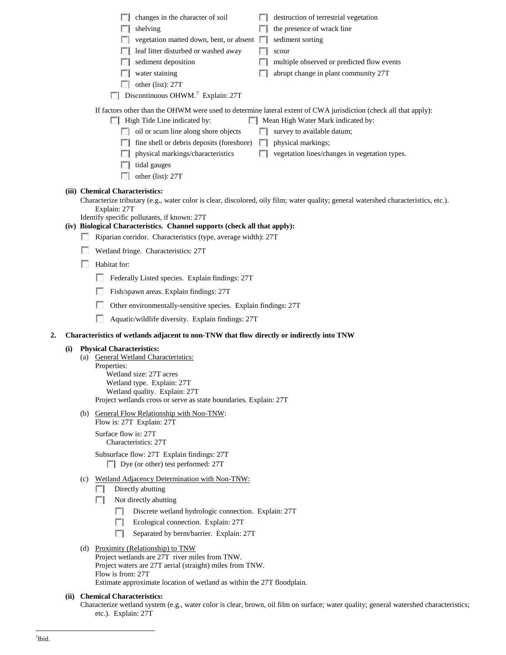<span id="page-3-0"></span>

|    |     |     | destruction of terrestrial vegetation<br>changes in the character of soil<br>the presence of wrack line<br>shelving<br>sediment sorting<br>vegetation matted down, bent, or absent $\Box$<br>leaf litter disturbed or washed away<br>scour<br>sediment deposition<br>multiple observed or predicted flow events<br>water staining<br>abrupt change in plant community 27T<br>other (list): 27T<br>Discontinuous OHWM. <sup>7</sup> Explain: 27T |  |  |  |  |
|----|-----|-----|-------------------------------------------------------------------------------------------------------------------------------------------------------------------------------------------------------------------------------------------------------------------------------------------------------------------------------------------------------------------------------------------------------------------------------------------------|--|--|--|--|
|    |     |     | If factors other than the OHWM were used to determine lateral extent of CWA jurisdiction (check all that apply):<br>High Tide Line indicated by:<br>Mean High Water Mark indicated by:<br>oil or scum line along shore objects<br>survey to available datum;<br>fine shell or debris deposits (foreshore)<br>physical markings;<br>$\sim$<br>physical markings/characteristics<br>vegetation lines/changes in vegetation types.<br>tidal gauges |  |  |  |  |
|    |     |     | other (list): 27T<br>(iii) Chemical Characteristics:<br>Characterize tributary (e.g., water color is clear, discolored, oily film; water quality; general watershed characteristics, etc.).<br>Explain: 27T<br>Identify specific pollutants, if known: 27T<br>(iv) Biological Characteristics. Channel supports (check all that apply):<br>Riparian corridor. Characteristics (type, average width): 27T                                        |  |  |  |  |
|    |     |     | Wetland fringe. Characteristics: 27T<br>Habitat for:<br>Federally Listed species. Explain findings: 27T<br>Fish/spawn areas. Explain findings: 27T<br>Other environmentally-sensitive species. Explain findings: 27T<br>Aquatic/wildlife diversity. Explain findings: 27T                                                                                                                                                                       |  |  |  |  |
| 2. |     |     | Characteristics of wetlands adjacent to non-TNW that flow directly or indirectly into TNW                                                                                                                                                                                                                                                                                                                                                       |  |  |  |  |
|    | (i) | (a) | <b>Physical Characteristics:</b><br><b>General Wetland Characteristics:</b><br>Properties:<br>Wetland size: 27T acres<br>Wetland type. Explain: 27T<br>Wetland quality. Explain: 27T<br>Project wetlands cross or serve as state boundaries. Explain: 27T                                                                                                                                                                                       |  |  |  |  |
|    |     |     | (b) General Flow Relationship with Non-TNW:<br>Flow is: 27T Explain: 27T<br>Surface flow is: 27T<br>Characteristics: 27T                                                                                                                                                                                                                                                                                                                        |  |  |  |  |
|    |     | (c) | Subsurface flow: 27T Explain findings: 27T<br>$\Box$ Dye (or other) test performed: 27T<br>Wetland Adjacency Determination with Non-TNW:                                                                                                                                                                                                                                                                                                        |  |  |  |  |
|    |     |     | Directly abutting<br>$\sim$<br>Not directly abutting<br>п<br>Discrete wetland hydrologic connection. Explain: 27T<br>$\mathbb{R}^n$<br>п<br>Ecological connection. Explain: 27T<br>$\Box$<br>Separated by berm/barrier. Explain: 27T                                                                                                                                                                                                            |  |  |  |  |
|    |     |     | (d) Proximity (Relationship) to TNW<br>Project wetlands are 27T river miles from TNW.<br>Project waters are 27T aerial (straight) miles from TNW.<br>Flow is from: 27T<br>Estimate approximate location of wetland as within the 27T floodplain.                                                                                                                                                                                                |  |  |  |  |
|    |     |     | (ii) Chemical Characteristics:<br>Characterize wetland system (e.g., water color is clear, brown, oil film on surface; water quality; general watershed characteristics;<br>etc.). Explain: 27T                                                                                                                                                                                                                                                 |  |  |  |  |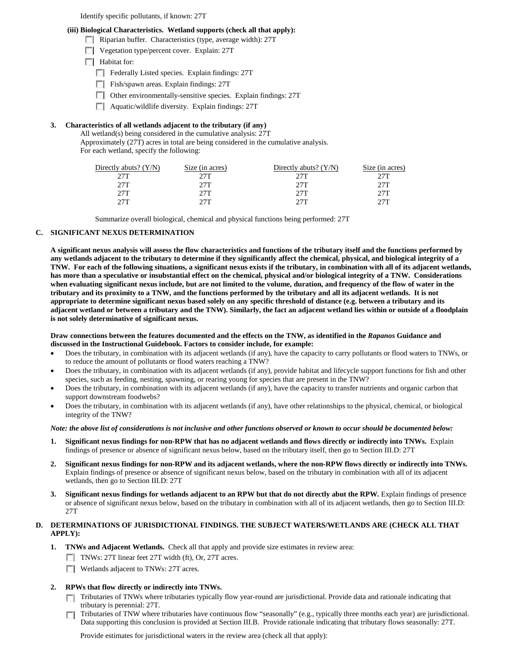Identify specific pollutants, if known: 27T

### **(iii) Biological Characteristics. Wetland supports (check all that apply):**

- Riparian buffer. Characteristics (type, average width): 27T
	- Vegetation type/percent cover. Explain: 27T

**Habitat for:** 

- Federally Listed species. Explain findings: 27T
- Fish/spawn areas. Explain findings: 27T
- Other environmentally-sensitive species. Explain findings: 27T
- $\Box$  Aquatic/wildlife diversity. Explain findings: 27T

## **3. Characteristics of all wetlands adjacent to the tributary (if any)**

All wetland(s) being considered in the cumulative analysis: 27T

Approximately (27T) acres in total are being considered in the cumulative analysis. For each wetland, specify the following:

| Directly abuts? $(Y/N)$ | Size (in acres) | Directly abuts? $(Y/N)$ | Size (in acres) |
|-------------------------|-----------------|-------------------------|-----------------|
| 2.7T                    | 27T             | 27T                     | 27T             |
| 27T                     | 27T             | 27T                     | 27T             |
| 27T                     | 27T             | 27T                     | 27T             |
| 27T                     | フフT             | 27T                     | フフT             |

Summarize overall biological, chemical and physical functions being performed: 27T

## **C. SIGNIFICANT NEXUS DETERMINATION**

**A significant nexus analysis will assess the flow characteristics and functions of the tributary itself and the functions performed by any wetlands adjacent to the tributary to determine if they significantly affect the chemical, physical, and biological integrity of a TNW. For each of the following situations, a significant nexus exists if the tributary, in combination with all of its adjacent wetlands, has more than a speculative or insubstantial effect on the chemical, physical and/or biological integrity of a TNW. Considerations when evaluating significant nexus include, but are not limited to the volume, duration, and frequency of the flow of water in the tributary and its proximity to a TNW, and the functions performed by the tributary and all its adjacent wetlands. It is not appropriate to determine significant nexus based solely on any specific threshold of distance (e.g. between a tributary and its adjacent wetland or between a tributary and the TNW). Similarly, the fact an adjacent wetland lies within or outside of a floodplain is not solely determinative of significant nexus.** 

### **Draw connections between the features documented and the effects on the TNW, as identified in the** *Rapanos* **Guidance and discussed in the Instructional Guidebook. Factors to consider include, for example:**

- Does the tributary, in combination with its adjacent wetlands (if any), have the capacity to carry pollutants or flood waters to TNWs, or to reduce the amount of pollutants or flood waters reaching a TNW?
- Does the tributary, in combination with its adjacent wetlands (if any), provide habitat and lifecycle support functions for fish and other species, such as feeding, nesting, spawning, or rearing young for species that are present in the TNW?
- Does the tributary, in combination with its adjacent wetlands (if any), have the capacity to transfer nutrients and organic carbon that support downstream foodwebs?
- Does the tributary, in combination with its adjacent wetlands (if any), have other relationships to the physical, chemical, or biological integrity of the TNW?

## *Note: the above list of considerations is not inclusive and other functions observed or known to occur should be documented below:*

- **1. Significant nexus findings for non-RPW that has no adjacent wetlands and flows directly or indirectly into TNWs.** Explain findings of presence or absence of significant nexus below, based on the tributary itself, then go to Section III.D: 27T
- **2. Significant nexus findings for non-RPW and its adjacent wetlands, where the non-RPW flows directly or indirectly into TNWs.**  Explain findings of presence or absence of significant nexus below, based on the tributary in combination with all of its adjacent wetlands, then go to Section III.D: 27T
- **3. Significant nexus findings for wetlands adjacent to an RPW but that do not directly abut the RPW.** Explain findings of presence or absence of significant nexus below, based on the tributary in combination with all of its adjacent wetlands, then go to Section III.D: 27T

## **D. DETERMINATIONS OF JURISDICTIONAL FINDINGS. THE SUBJECT WATERS/WETLANDS ARE (CHECK ALL THAT APPLY):**

- **1. TNWs and Adjacent Wetlands.** Check all that apply and provide size estimates in review area:
	- TNWs: 27T linear feet 27T width (ft), Or, 27T acres.
	- Wetlands adjacent to TNWs: 27T acres.

### **2. RPWs that flow directly or indirectly into TNWs.**

- Tributaries of TNWs where tributaries typically flow year-round are jurisdictional. Provide data and rationale indicating that tributary is perennial: 27T.
- Tributaries of TNW where tributaries have continuous flow "seasonally" (e.g., typically three months each year) are jurisdictional.  $\overline{\phantom{a}}$ Data supporting this conclusion is provided at Section III.B. Provide rationale indicating that tributary flows seasonally: 27T.

Provide estimates for jurisdictional waters in the review area (check all that apply):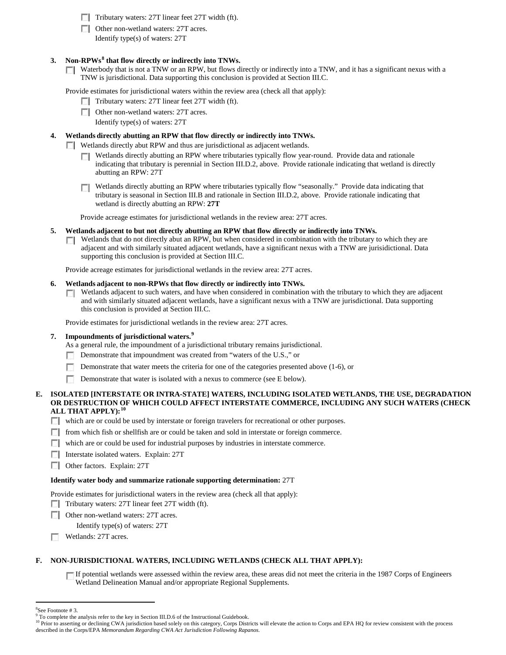- $\Box$  Tributary waters: 27T linear feet 27T width (ft).
- Other non-wetland waters: 27T acres.

Identify type(s) of waters: 27T

## **3. Non-RPWs[8](#page-5-0) that flow directly or indirectly into TNWs.**

Waterbody that is not a TNW or an RPW, but flows directly or indirectly into a TNW, and it has a significant nexus with a  $\Box$ TNW is jurisdictional. Data supporting this conclusion is provided at Section III.C.

Provide estimates for jurisdictional waters within the review area (check all that apply):

- $\Box$  Tributary waters: 27T linear feet 27T width (ft).
- Other non-wetland waters: 27T acres.
	- Identify type(s) of waters: 27T

## **4. Wetlands directly abutting an RPW that flow directly or indirectly into TNWs.**

- **Wetlands directly abut RPW and thus are jurisdictional as adjacent wetlands.** 
	- Wetlands directly abutting an RPW where tributaries typically flow year-round. Provide data and rationale  $\sim$ indicating that tributary is perennial in Section III.D.2, above. Provide rationale indicating that wetland is directly abutting an RPW: 27T
	- Wetlands directly abutting an RPW where tributaries typically flow "seasonally." Provide data indicating that tributary is seasonal in Section III.B and rationale in Section III.D.2, above. Provide rationale indicating that wetland is directly abutting an RPW: **27T**

Provide acreage estimates for jurisdictional wetlands in the review area: 27T acres.

- **5. Wetlands adjacent to but not directly abutting an RPW that flow directly or indirectly into TNWs.**
	- $\Box$  Wetlands that do not directly abut an RPW, but when considered in combination with the tributary to which they are adjacent and with similarly situated adjacent wetlands, have a significant nexus with a TNW are jurisidictional. Data supporting this conclusion is provided at Section III.C.

Provide acreage estimates for jurisdictional wetlands in the review area: 27T acres.

## **6. Wetlands adjacent to non-RPWs that flow directly or indirectly into TNWs.**

Wetlands adjacent to such waters, and have when considered in combination with the tributary to which they are adjacent and with similarly situated adjacent wetlands, have a significant nexus with a TNW are jurisdictional. Data supporting this conclusion is provided at Section III.C.

Provide estimates for jurisdictional wetlands in the review area: 27T acres.

## **7. Impoundments of jurisdictional waters. [9](#page-5-1)**

As a general rule, the impoundment of a jurisdictional tributary remains jurisdictional.

- Demonstrate that impoundment was created from "waters of the U.S.," or  $\mathcal{L}$
- **In** Demonstrate that water meets the criteria for one of the categories presented above (1-6), or
- $\sim$ Demonstrate that water is isolated with a nexus to commerce (see E below).

### **E. ISOLATED [INTERSTATE OR INTRA-STATE] WATERS, INCLUDING ISOLATED WETLANDS, THE USE, DEGRADATION OR DESTRUCTION OF WHICH COULD AFFECT INTERSTATE COMMERCE, INCLUDING ANY SUCH WATERS (CHECK ALL THAT APPLY):[10](#page-5-2)**

- which are or could be used by interstate or foreign travelers for recreational or other purposes.
- $\Box$  from which fish or shellfish are or could be taken and sold in interstate or foreign commerce.
- which are or could be used for industrial purposes by industries in interstate commerce.
- **Interstate isolated waters. Explain: 27T**
- **Other factors. Explain: 27T**

### **Identify water body and summarize rationale supporting determination:** 27T

Provide estimates for jurisdictional waters in the review area (check all that apply):

- Tributary waters: 27T linear feet 27T width (ft).
- Other non-wetland waters: 27T acres.

Identify type(s) of waters: 27T

Wetlands: 27T acres.

## **F. NON-JURISDICTIONAL WATERS, INCLUDING WETLANDS (CHECK ALL THAT APPLY):**

If potential wetlands were assessed within the review area, these areas did not meet the criteria in the 1987 Corps of Engineers Wetland Delineation Manual and/or appropriate Regional Supplements.

 $\frac{1}{8}$ 

<span id="page-5-1"></span><span id="page-5-0"></span><sup>&</sup>lt;sup>8</sup>See Footnote # 3.<br><sup>9</sup> To complete the analysis refer to the key in Section III.D.6 of the Instructional Guidebook.

<span id="page-5-2"></span><sup>&</sup>lt;sup>10</sup> Prior to asserting or declining CWA jurisdiction based solely on this category, Corps Districts will elevate the action to Corps and EPA HQ for review consistent with the process described in the Corps/EPA *Memorandum Regarding CWA Act Jurisdiction Following Rapanos.*